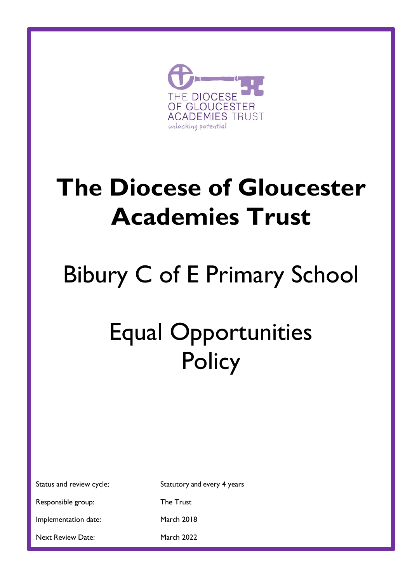

# **The Diocese of Gloucester Academies Trust**

# Bibury C of E Primary School

# Equal Opportunities **Policy**

Status and review cycle; Statutory and every 4 years

Responsible group: The Trust

Implementation date: March 2018

Next Review Date: March 2022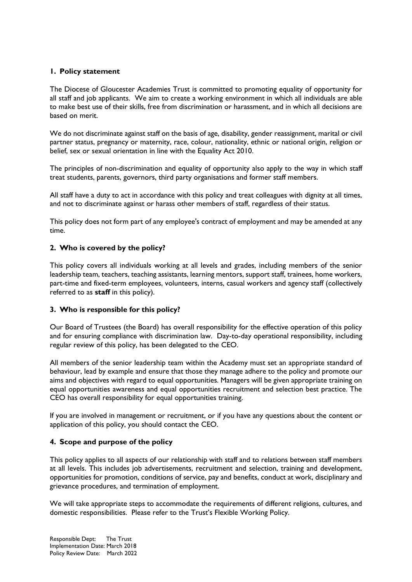#### **1. Policy statement**

The Diocese of Gloucester Academies Trust is committed to promoting equality of opportunity for all staff and job applicants. We aim to create a working environment in which all individuals are able to make best use of their skills, free from discrimination or harassment, and in which all decisions are based on merit.

We do not discriminate against staff on the basis of age, disability, gender reassignment, marital or civil partner status, pregnancy or maternity, race, colour, nationality, ethnic or national origin, religion or belief, sex or sexual orientation in line with the Equality Act 2010.

The principles of non-discrimination and equality of opportunity also apply to the way in which staff treat students, parents, governors, third party organisations and former staff members.

All staff have a duty to act in accordance with this policy and treat colleagues with dignity at all times, and not to discriminate against or harass other members of staff, regardless of their status.

This policy does not form part of any employee's contract of employment and may be amended at any time.

#### **2. Who is covered by the policy?**

This policy covers all individuals working at all levels and grades, including members of the senior leadership team, teachers, teaching assistants, learning mentors, support staff, trainees, home workers, part-time and fixed-term employees, volunteers, interns, casual workers and agency staff (collectively referred to as **staff** in this policy).

#### **3. Who is responsible for this policy?**

Our Board of Trustees (the Board) has overall responsibility for the effective operation of this policy and for ensuring compliance with discrimination law. Day-to-day operational responsibility, including regular review of this policy, has been delegated to the CEO.

All members of the senior leadership team within the Academy must set an appropriate standard of behaviour, lead by example and ensure that those they manage adhere to the policy and promote our aims and objectives with regard to equal opportunities. Managers will be given appropriate training on equal opportunities awareness and equal opportunities recruitment and selection best practice. The CEO has overall responsibility for equal opportunities training.

If you are involved in management or recruitment, or if you have any questions about the content or application of this policy, you should contact the CEO.

#### **4. Scope and purpose of the policy**

This policy applies to all aspects of our relationship with staff and to relations between staff members at all levels. This includes job advertisements, recruitment and selection, training and development, opportunities for promotion, conditions of service, pay and benefits, conduct at work, disciplinary and grievance procedures, and termination of employment.

We will take appropriate steps to accommodate the requirements of different religions, cultures, and domestic responsibilities. Please refer to the Trust's Flexible Working Policy.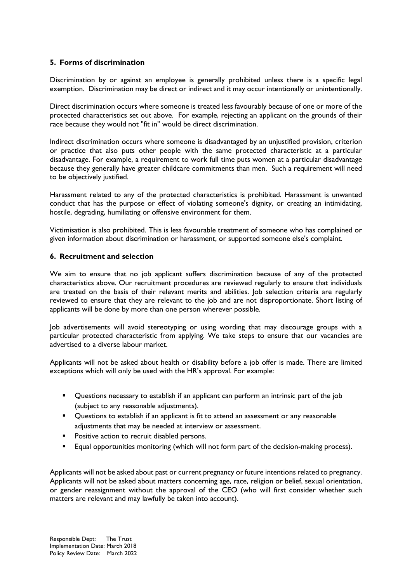#### **5. Forms of discrimination**

Discrimination by or against an employee is generally prohibited unless there is a specific legal exemption. Discrimination may be direct or indirect and it may occur intentionally or unintentionally.

Direct discrimination occurs where someone is treated less favourably because of one or more of the protected characteristics set out above. For example, rejecting an applicant on the grounds of their race because they would not "fit in" would be direct discrimination.

Indirect discrimination occurs where someone is disadvantaged by an unjustified provision, criterion or practice that also puts other people with the same protected characteristic at a particular disadvantage. For example, a requirement to work full time puts women at a particular disadvantage because they generally have greater childcare commitments than men. Such a requirement will need to be objectively justified.

Harassment related to any of the protected characteristics is prohibited. Harassment is unwanted conduct that has the purpose or effect of violating someone's dignity, or creating an intimidating, hostile, degrading, humiliating or offensive environment for them.

Victimisation is also prohibited. This is less favourable treatment of someone who has complained or given information about discrimination or harassment, or supported someone else's complaint.

#### **6. Recruitment and selection**

We aim to ensure that no job applicant suffers discrimination because of any of the protected characteristics above. Our recruitment procedures are reviewed regularly to ensure that individuals are treated on the basis of their relevant merits and abilities. Job selection criteria are regularly reviewed to ensure that they are relevant to the job and are not disproportionate. Short listing of applicants will be done by more than one person wherever possible.

Job advertisements will avoid stereotyping or using wording that may discourage groups with a particular protected characteristic from applying. We take steps to ensure that our vacancies are advertised to a diverse labour market.

Applicants will not be asked about health or disability before a job offer is made. There are limited exceptions which will only be used with the HR's approval. For example:

- Questions necessary to establish if an applicant can perform an intrinsic part of the job (subject to any reasonable adjustments).
- **•** Questions to establish if an applicant is fit to attend an assessment or any reasonable adjustments that may be needed at interview or assessment.
- **Positive action to recruit disabled persons.**
- **Equal opportunities monitoring (which will not form part of the decision-making process).**

Applicants will not be asked about past or current pregnancy or future intentions related to pregnancy. Applicants will not be asked about matters concerning age, race, religion or belief, sexual orientation, or gender reassignment without the approval of the CEO (who will first consider whether such matters are relevant and may lawfully be taken into account).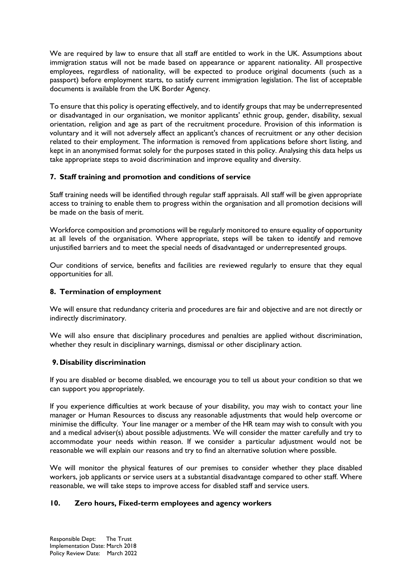We are required by law to ensure that all staff are entitled to work in the UK. Assumptions about immigration status will not be made based on appearance or apparent nationality. All prospective employees, regardless of nationality, will be expected to produce original documents (such as a passport) before employment starts, to satisfy current immigration legislation. The list of acceptable documents is available from the UK Border Agency.

To ensure that this policy is operating effectively, and to identify groups that may be underrepresented or disadvantaged in our organisation, we monitor applicants' ethnic group, gender, disability, sexual orientation, religion and age as part of the recruitment procedure. Provision of this information is voluntary and it will not adversely affect an applicant's chances of recruitment or any other decision related to their employment. The information is removed from applications before short listing, and kept in an anonymised format solely for the purposes stated in this policy. Analysing this data helps us take appropriate steps to avoid discrimination and improve equality and diversity.

#### **7. Staff training and promotion and conditions of service**

Staff training needs will be identified through regular staff appraisals. All staff will be given appropriate access to training to enable them to progress within the organisation and all promotion decisions will be made on the basis of merit.

Workforce composition and promotions will be regularly monitored to ensure equality of opportunity at all levels of the organisation. Where appropriate, steps will be taken to identify and remove unjustified barriers and to meet the special needs of disadvantaged or underrepresented groups.

Our conditions of service, benefits and facilities are reviewed regularly to ensure that they equal opportunities for all.

### **8. Termination of employment**

We will ensure that redundancy criteria and procedures are fair and objective and are not directly or indirectly discriminatory.

We will also ensure that disciplinary procedures and penalties are applied without discrimination, whether they result in disciplinary warnings, dismissal or other disciplinary action.

#### **9. Disability discrimination**

If you are disabled or become disabled, we encourage you to tell us about your condition so that we can support you appropriately.

If you experience difficulties at work because of your disability, you may wish to contact your line manager or Human Resources to discuss any reasonable adjustments that would help overcome or minimise the difficulty. Your line manager or a member of the HR team may wish to consult with you and a medical adviser(s) about possible adjustments. We will consider the matter carefully and try to accommodate your needs within reason. If we consider a particular adjustment would not be reasonable we will explain our reasons and try to find an alternative solution where possible.

We will monitor the physical features of our premises to consider whether they place disabled workers, job applicants or service users at a substantial disadvantage compared to other staff. Where reasonable, we will take steps to improve access for disabled staff and service users.

#### **10. Zero hours, Fixed-term employees and agency workers**